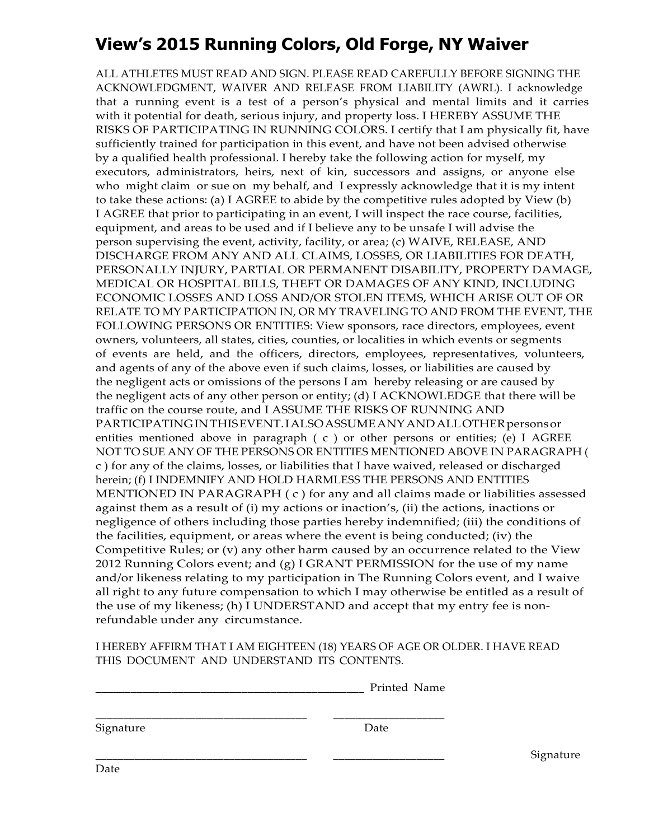## **View's 2015 Running Colors, Old Forge, NY Waiver**

ALL ATHLETES MUST READ AND SIGN. PLEASE READ CAREFULLY BEFORE SIGNING THE ACKNOWLEDGMENT, WAIVER AND RELEASE FROM LIABILITY (AWRL). I acknowledge that a running event is a test of a person's physical and mental limits and it carries with it potential for death, serious injury, and property loss. I HEREBY ASSUME THE RISKS OF PARTICIPATING IN RUNNING COLORS. I certify that I am physically fit, have sufficiently trained for participation in this event, and have not been advised otherwise by a qualified health professional. I hereby take the following action for myself, my executors, administrators, heirs, next of kin, successors and assigns, or anyone else who might claim or sue on my behalf, and I expressly acknowledge that it is my intent to take these actions: (a) I AGREE to abide by the competitive rules adopted by View (b) I AGREE that prior to participating in an event, I will inspect the race course, facilities, equipment, and areas to be used and if I believe any to be unsafe I will advise the person supervising the event, activity, facility, or area; (c) WAIVE, RELEASE, AND DISCHARGE FROM ANY AND ALL CLAIMS, LOSSES, OR LIABILITIES FOR DEATH, PERSONALLY INJURY, PARTIAL OR PERMANENT DISABILITY, PROPERTY DAMAGE, MEDICAL OR HOSPITAL BILLS, THEFT OR DAMAGES OF ANY KIND, INCLUDING ECONOMIC LOSSES AND LOSS AND/OR STOLEN ITEMS, WHICH ARISE OUT OF OR RELATE TO MY PARTICIPATION IN, OR MY TRAVELING TO AND FROM THE EVENT, THE FOLLOWING PERSONS OR ENTITIES: View sponsors, race directors, employees, event owners, volunteers, all states, cities, counties, or localities in which events or segments of events are held, and the officers, directors, employees, representatives, volunteers, and agents of any of the above even if such claims, losses, or liabilities are caused by the negligent acts or omissions of the persons I am hereby releasing or are caused by the negligent acts of any other person or entity; (d) I ACKNOWLEDGE that there will be traffic on the course route, and I ASSUME THE RISKS OF RUNNING AND PARTICIPATINGINTHISEVENT.IALSOASSUMEANYANDALLOTHERpersonsor entities mentioned above in paragraph ( c ) or other persons or entities; (e) I AGREE NOT TO SUE ANY OF THE PERSONS OR ENTITIES MENTIONED ABOVE IN PARAGRAPH ( c ) for any of the claims, losses, or liabilities that I have waived, released or discharged herein; (f) I INDEMNIFY AND HOLD HARMLESS THE PERSONS AND ENTITIES MENTIONED IN PARAGRAPH ( c ) for any and all claims made or liabilities assessed against them as a result of (i) my actions or inaction's, (ii) the actions, inactions or negligence of others including those parties hereby indemnified; (iii) the conditions of the facilities, equipment, or areas where the event is being conducted; (iv) the Competitive Rules; or (v) any other harm caused by an occurrence related to the View 2012 Running Colors event; and (g) I GRANT PERMISSION for the use of my name and/or likeness relating to my participation in The Running Colors event, and I waive all right to any future compensation to which I may otherwise be entitled as a result of the use of my likeness; (h) I UNDERSTAND and accept that my entry fee is nonrefundable under any circumstance.

I HEREBY AFFIRM THAT I AM EIGHTEEN (18) YEARS OF AGE OR OLDER. I HAVE READ THIS DOCUMENT AND UNDERSTAND ITS CONTENTS.

| Printed Name |
|--------------|
|              |

\_\_\_\_\_\_\_\_\_\_\_\_\_\_\_\_\_\_\_\_\_\_\_\_\_\_\_\_\_\_\_\_\_\_\_\_\_\_ \_\_\_\_\_\_\_\_\_\_\_\_\_\_\_\_\_\_\_\_

Signature Date

\_\_\_\_\_\_\_\_\_\_\_\_\_\_\_\_\_\_\_\_\_\_\_\_\_\_\_\_\_\_\_\_\_\_\_\_\_\_ \_\_\_\_\_\_\_\_\_\_\_\_\_\_\_\_\_\_\_\_ Signature